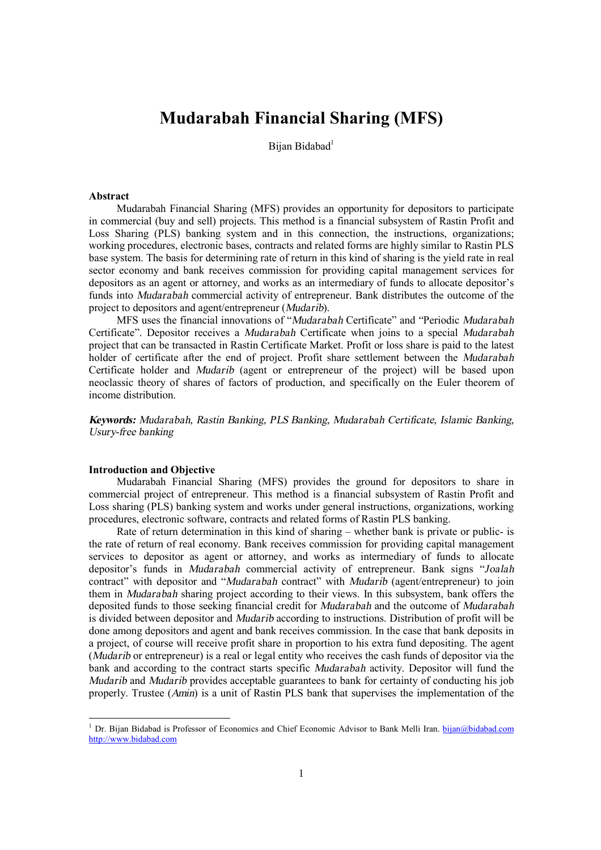# **Mudarabah Financial Sharing (MFS)**

Bijan Bidabad<sup>1</sup>

## **Abstract**

Mudarabah Financial Sharing (MFS) provides an opportunity for depositors to participate in commercial (buy and sell) projects. This method is a financial subsystem of Rastin Profit and Loss Sharing (PLS) banking system and in this connection, the instructions, organizations; working procedures, electronic bases, contracts and related forms are highly similar to Rastin PLS base system. The basis for determining rate of return in this kind of sharing is the yield rate in real sector economy and bank receives commission for providing capital management services for depositors as an agent or attorney, and works as an intermediary of funds to allocate depositor's funds into *Mudarabah* commercial activity of entrepreneur. Bank distributes the outcome of the project to depositors and agent/entrepreneur (*Mudarib*).

MFS uses the financial innovations of "*Mudarabah* Certificate" and "Periodic *Mudarabah*  Certificate". Depositor receives a *Mudarabah* Certificate when joins to a special *Mudarabah* project that can be transacted in Rastin Certificate Market. Profit or loss share is paid to the latest holder of certificate after the end of project. Profit share settlement between the *Mudarabah* Certificate holder and *Mudarib* (agent or entrepreneur of the project) will be based upon neoclassic theory of shares of factors of production, and specifically on the Euler theorem of income distribution.

*Keywords: Mudarabah, Rastin Banking, PLS Banking, Mudarabah Certificate, Islamic Banking, Usury-free banking* 

## **Introduction and Objective**

 $\overline{a}$ 

Mudarabah Financial Sharing (MFS) provides the ground for depositors to share in commercial project of entrepreneur. This method is a financial subsystem of Rastin Profit and Loss sharing (PLS) banking system and works under general instructions, organizations, working procedures, electronic software, contracts and related forms of Rastin PLS banking.

Rate of return determination in this kind of sharing – whether bank is private or public- is the rate of return of real economy. Bank receives commission for providing capital management services to depositor as agent or attorney, and works as intermediary of funds to allocate depositor's funds in *Mudarabah* commercial activity of entrepreneur. Bank signs "*Joalah* contract" with depositor and "*Mudarabah* contract" with *Mudarib* (agent/entrepreneur) to join them in *Mudarabah* sharing project according to their views. In this subsystem, bank offers the deposited funds to those seeking financial credit for *Mudarabah* and the outcome of *Mudarabah* is divided between depositor and *Mudarib* according to instructions. Distribution of profit will be done among depositors and agent and bank receives commission. In the case that bank deposits in a project, of course will receive profit share in proportion to his extra fund depositing. The agent (*Mudarib* or entrepreneur) is a real or legal entity who receives the cash funds of depositor via the bank and according to the contract starts specific *Mudarabah* activity. Depositor will fund the *Mudarib* and *Mudarib* provides acceptable guarantees to bank for certainty of conducting his job properly. Trustee (*Amin*) is a unit of Rastin PLS bank that supervises the implementation of the

<sup>&</sup>lt;sup>1</sup> Dr. Bijan Bidabad is Professor of Economics and Chief Economic Advisor to Bank Melli Iran. [bijan@bidabad.com](mailto:bijan@bidabad.com) <http://www.bidabad.com>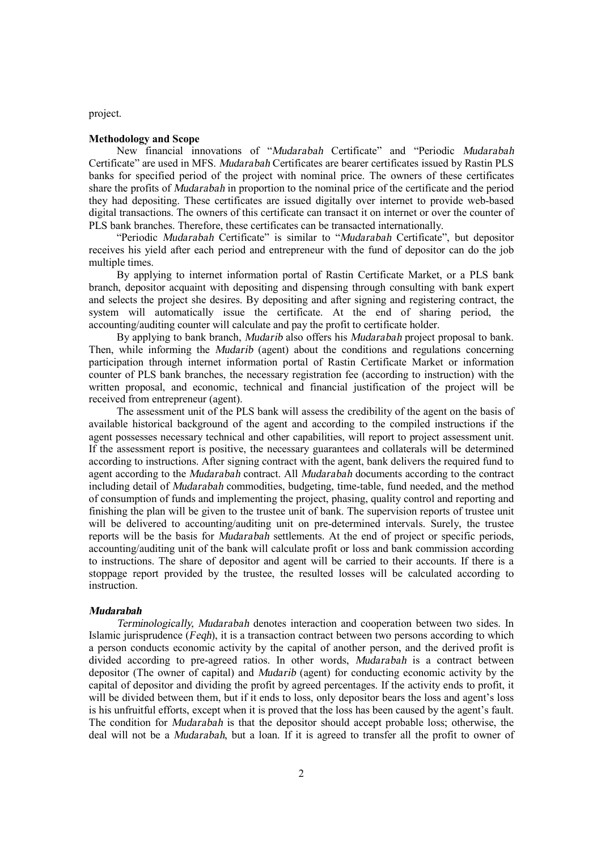project.

## **Methodology and Scope**

New financial innovations of "*Mudarabah* Certificate" and "Periodic *Mudarabah* Certificate" are used in MFS. *Mudarabah* Certificates are bearer certificates issued by Rastin PLS banks for specified period of the project with nominal price. The owners of these certificates share the profits of *Mudarabah* in proportion to the nominal price of the certificate and the period they had depositing. These certificates are issued digitally over internet to provide web-based digital transactions. The owners of this certificate can transact it on internet or over the counter of PLS bank branches. Therefore, these certificates can be transacted internationally.

"Periodic *Mudarabah* Certificate" is similar to "*Mudarabah* Certificate", but depositor receives his yield after each period and entrepreneur with the fund of depositor can do the job multiple times.

By applying to internet information portal of Rastin Certificate Market, or a PLS bank branch, depositor acquaint with depositing and dispensing through consulting with bank expert and selects the project she desires. By depositing and after signing and registering contract, the system will automatically issue the certificate. At the end of sharing period, the accounting/auditing counter will calculate and pay the profit to certificate holder.

By applying to bank branch, *Mudarib* also offers his *Mudarabah* project proposal to bank. Then, while informing the *Mudarib* (agent) about the conditions and regulations concerning participation through internet information portal of Rastin Certificate Market or information counter of PLS bank branches, the necessary registration fee (according to instruction) with the written proposal, and economic, technical and financial justification of the project will be received from entrepreneur (agent).

The assessment unit of the PLS bank will assess the credibility of the agent on the basis of available historical background of the agent and according to the compiled instructions if the agent possesses necessary technical and other capabilities, will report to project assessment unit. If the assessment report is positive, the necessary guarantees and collaterals will be determined according to instructions. After signing contract with the agent, bank delivers the required fund to agent according to the *Mudarabah* contract. All *Mudarabah* documents according to the contract including detail of *Mudarabah* commodities, budgeting, time-table, fund needed, and the method of consumption of funds and implementing the project, phasing, quality control and reporting and finishing the plan will be given to the trustee unit of bank. The supervision reports of trustee unit will be delivered to accounting/auditing unit on pre-determined intervals. Surely, the trustee reports will be the basis for *Mudarabah* settlements. At the end of project or specific periods, accounting/auditing unit of the bank will calculate profit or loss and bank commission according to instructions. The share of depositor and agent will be carried to their accounts. If there is a stoppage report provided by the trustee, the resulted losses will be calculated according to instruction.

#### *Mudarabah*

*Terminologically, Mudarabah* denotes interaction and cooperation between two sides. In Islamic jurisprudence (*Feqh*), it is a transaction contract between two persons according to which a person conducts economic activity by the capital of another person, and the derived profit is divided according to pre-agreed ratios. In other words, *Mudarabah* is a contract between depositor (The owner of capital) and *Mudarib* (agent) for conducting economic activity by the capital of depositor and dividing the profit by agreed percentages. If the activity ends to profit, it will be divided between them, but if it ends to loss, only depositor bears the loss and agent's loss is his unfruitful efforts, except when it is proved that the loss has been caused by the agent's fault. The condition for *Mudarabah* is that the depositor should accept probable loss; otherwise, the deal will not be a *Mudarabah*, but a loan. If it is agreed to transfer all the profit to owner of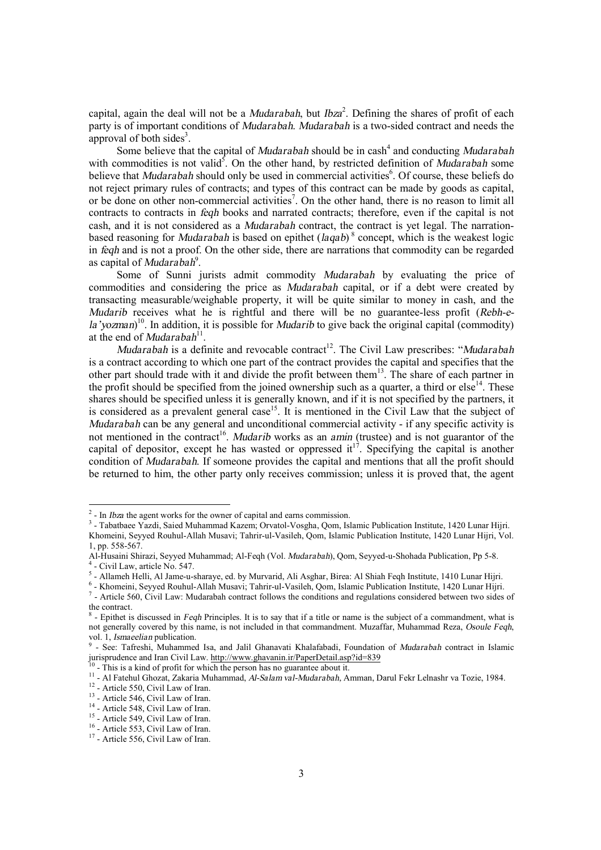capital, again the deal will not be a *Mudarabah*, but *Ibza* 2 . Defining the shares of profit of each party is of important conditions of *Mudarabah*. *Mudarabah* is a two-sided contract and needs the approval of both sides<sup>3</sup>.

Some believe that the capital of *Mudarabah* should be in cash<sup>4</sup> and conducting *Mudarabah* with commodities is not valid<sup>5</sup>. On the other hand, by restricted definition of *Mudarabah* some believe that *Mudarabah* should only be used in commercial activities<sup>6</sup>. Of course, these beliefs do not reject primary rules of contracts; and types of this contract can be made by goods as capital, or be done on other non-commercial activities<sup>7</sup>. On the other hand, there is no reason to limit all contracts to contracts in *feqh* books and narrated contracts; therefore, even if the capital is not cash, and it is not considered as a *Mudarabah* contract, the contract is yet legal. The narrationbased reasoning for *Mudarabah* is based on epithet (*laqab*) <sup>8</sup> concept, which is the weakest logic in *feqh* and is not a proof. On the other side, there are narrations that commodity can be regarded as capital of *Mudarabah* 9 .

Some of Sunni jurists admit commodity *Mudarabah* by evaluating the price of commodities and considering the price as *Mudarabah* capital, or if a debt were created by transacting measurable/weighable property, it will be quite similar to money in cash, and the *Mudarib* receives what he is rightful and there will be no guarantee-less profit (*Rebh-ela'yozman*) 10 . In addition, it is possible for *Mudarib* to give back the original capital (commodity) at the end of *Mudarabah*<sup>11</sup>.

*Mudarabah* is a definite and revocable contract<sup>12</sup>. The Civil Law prescribes: "*Mudarabah* is a contract according to which one part of the contract provides the capital and specifies that the other part should trade with it and divide the profit between them<sup>13</sup>. The share of each partner in the profit should be specified from the joined ownership such as a quarter, a third or  $else<sup>14</sup>$ . These shares should be specified unless it is generally known, and if it is not specified by the partners, it is considered as a prevalent general case<sup>15</sup>. It is mentioned in the Civil Law that the subject of *Mudarabah* can be any general and unconditional commercial activity - if any specific activity is not mentioned in the contract<sup>16</sup>. *Mudarib* works as an *amin* (trustee) and is not guarantor of the capital of depositor, except he has wasted or oppressed it<sup>17</sup>. Specifying the capital is another condition of *Mudarabah*. If someone provides the capital and mentions that all the profit should be returned to him, the other party only receives commission; unless it is proved that, the agent

-

<sup>&</sup>lt;sup>2</sup> - In *Ibza* the agent works for the owner of capital and earns commission.

<sup>3</sup> - Tabatbaee Yazdi, Saied Muhammad Kazem; Orvatol-Vosgha, Qom, Islamic Publication Institute, 1420 Lunar Hijri. Khomeini, Seyyed Rouhul-Allah Musavi; Tahrir-ul-Vasileh, Qom, Islamic Publication Institute, 1420 Lunar Hijri, Vol. 1, pp. 558-567.

Al-Husaini Shirazi, Seyyed Muhammad; Al-Feqh (Vol. *Mudarabah*), Qom, Seyyed-u-Shohada Publication, Pp 5-8. 4 - Civil Law, article No. 547.

<sup>5</sup> - Allameh Helli, Al Jame-u-sharaye, ed. by Murvarid, Ali Asghar, Birea: Al Shiah Feqh Institute, 1410 Lunar Hijri.

<sup>6</sup> - Khomeini, Seyyed Rouhul-Allah Musavi; Tahrir-ul-Vasileh, Qom, Islamic Publication Institute, 1420 Lunar Hijri. <sup>7</sup> - Article 560, Civil Law: Mudarabah contract follows the conditions and regulations considered between two sides of

the contract. 8 - Epithet is discussed in *Feqh* Principles. It is to say that if a title or name is the subject of a commandment, what is not generally covered by this name, is not included in that commandment. Muzaffar, Muhammad Reza, *Osoule Feqh*, vol. 1, *Ismaeelian* publication.<br><sup>9</sup> See: Tafreshi, Muhammed

<sup>-</sup> See: Tafreshi, Muhammed Isa, and Jalil Ghanavati Khalafabadi, Foundation of *Mudarabah* contract in Islamic jurisprudence and Iran Civil Law.  $\frac{http://www.ghavanin.ir/PaperDetail.asp?id=839}{10}$ <br><sup>10</sup> This is a kind of profit for which the person has no guarantee shout it

<sup>-</sup> This is a kind of profit for which the person has no guarantee about it.

<sup>11</sup> - Al Fatehul Ghozat, Zakaria Muhammad, *Al-Salam val-Mudarabah,* Amman, Darul Fekr Lelnashr va Tozie, 1984.

<sup>&</sup>lt;sup>12</sup> - Article 550, Civil Law of Iran.

<sup>&</sup>lt;sup>13</sup> - Article 546, Civil Law of Iran.

<sup>&</sup>lt;sup>14</sup> - Article 548, Civil Law of Iran.

<sup>&</sup>lt;sup>15</sup> - Article 549, Civil Law of Iran.

<sup>&</sup>lt;sup>16</sup> - Article 553, Civil Law of Iran.

<sup>&</sup>lt;sup>17</sup> - Article 556, Civil Law of Iran.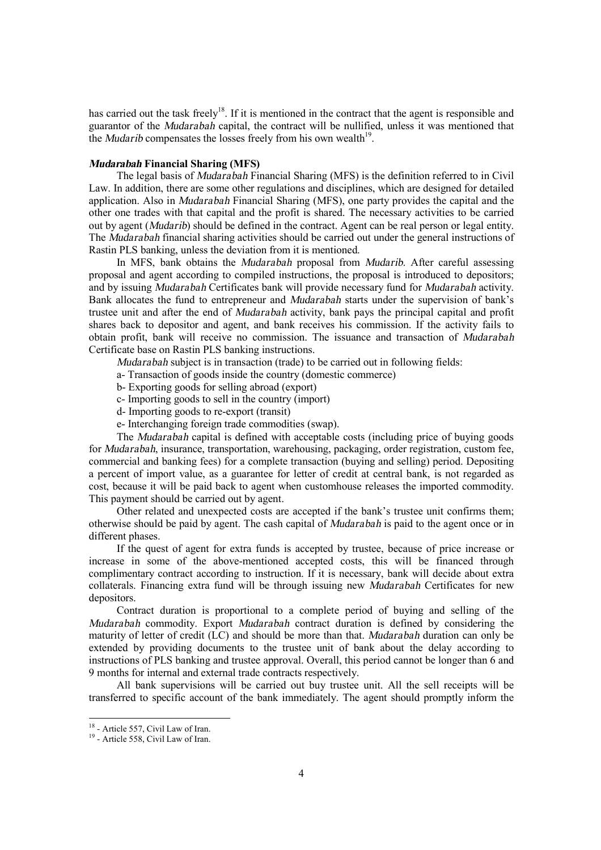has carried out the task freely<sup>18</sup>. If it is mentioned in the contract that the agent is responsible and guarantor of the *Mudarabah* capital, the contract will be nullified, unless it was mentioned that the *Mudarib* compensates the losses freely from his own wealth<sup>19</sup>.

# *Mudarabah* **Financial Sharing (MFS)**

The legal basis of *Mudarabah* Financial Sharing (MFS) is the definition referred to in Civil Law. In addition, there are some other regulations and disciplines, which are designed for detailed application. Also in *Mudarabah* Financial Sharing (MFS), one party provides the capital and the other one trades with that capital and the profit is shared. The necessary activities to be carried out by agent (*Mudarib*) should be defined in the contract. Agent can be real person or legal entity. The *Mudarabah* financial sharing activities should be carried out under the general instructions of Rastin PLS banking, unless the deviation from it is mentioned.

In MFS, bank obtains the *Mudarabah* proposal from *Mudarib.* After careful assessing proposal and agent according to compiled instructions, the proposal is introduced to depositors; and by issuing *Mudarabah* Certificates bank will provide necessary fund for *Mudarabah* activity. Bank allocates the fund to entrepreneur and *Mudarabah* starts under the supervision of bank's trustee unit and after the end of *Mudarabah* activity, bank pays the principal capital and profit shares back to depositor and agent, and bank receives his commission. If the activity fails to obtain profit, bank will receive no commission. The issuance and transaction of *Mudarabah* Certificate base on Rastin PLS banking instructions.

*Mudarabah* subject is in transaction (trade) to be carried out in following fields:

- a- Transaction of goods inside the country (domestic commerce)
- b- Exporting goods for selling abroad (export)
- c- Importing goods to sell in the country (import)
- d- Importing goods to re-export (transit)
- e- Interchanging foreign trade commodities (swap).

The *Mudarabah* capital is defined with acceptable costs (including price of buying goods for *Mudarabah*, insurance, transportation, warehousing, packaging, order registration, custom fee, commercial and banking fees) for a complete transaction (buying and selling) period. Depositing a percent of import value, as a guarantee for letter of credit at central bank, is not regarded as cost, because it will be paid back to agent when customhouse releases the imported commodity. This payment should be carried out by agent.

Other related and unexpected costs are accepted if the bank's trustee unit confirms them; otherwise should be paid by agent. The cash capital of *Mudarabah* is paid to the agent once or in different phases.

If the quest of agent for extra funds is accepted by trustee, because of price increase or increase in some of the above-mentioned accepted costs, this will be financed through complimentary contract according to instruction. If it is necessary, bank will decide about extra collaterals. Financing extra fund will be through issuing new *Mudarabah* Certificates for new depositors.

Contract duration is proportional to a complete period of buying and selling of the *Mudarabah* commodity. Export *Mudarabah* contract duration is defined by considering the maturity of letter of credit (LC) and should be more than that. *Mudarabah* duration can only be extended by providing documents to the trustee unit of bank about the delay according to instructions of PLS banking and trustee approval. Overall, this period cannot be longer than 6 and 9 months for internal and external trade contracts respectively.

All bank supervisions will be carried out buy trustee unit. All the sell receipts will be transferred to specific account of the bank immediately. The agent should promptly inform the

 $\overline{a}$ 

<sup>&</sup>lt;sup>18</sup> - Article 557, Civil Law of Iran.

<sup>&</sup>lt;sup>19</sup> - Article 558, Civil Law of Iran.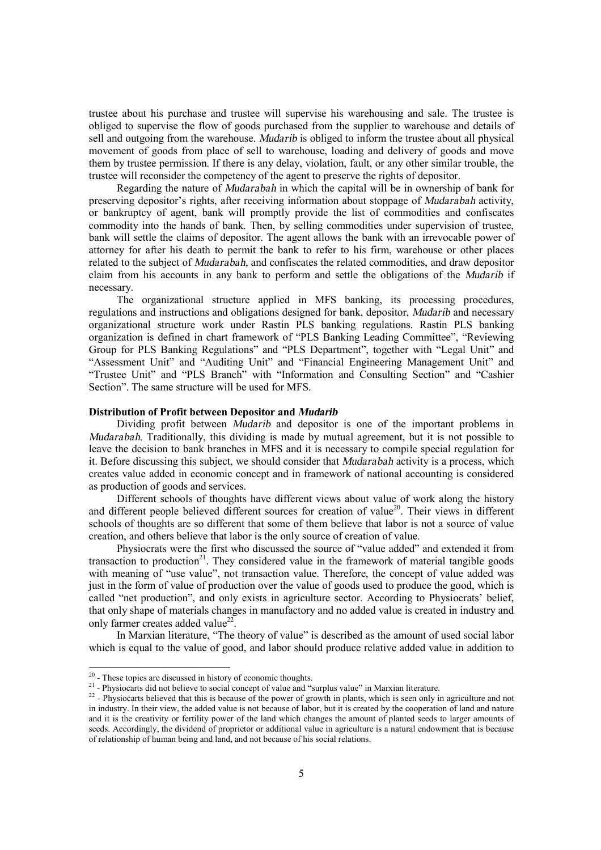trustee about his purchase and trustee will supervise his warehousing and sale. The trustee is obliged to supervise the flow of goods purchased from the supplier to warehouse and details of sell and outgoing from the warehouse. *Mudarib* is obliged to inform the trustee about all physical movement of goods from place of sell to warehouse, loading and delivery of goods and move them by trustee permission. If there is any delay, violation, fault, or any other similar trouble, the trustee will reconsider the competency of the agent to preserve the rights of depositor.

Regarding the nature of *Mudarabah* in which the capital will be in ownership of bank for preserving depositor's rights, after receiving information about stoppage of *Mudarabah* activity, or bankruptcy of agent, bank will promptly provide the list of commodities and confiscates commodity into the hands of bank. Then, by selling commodities under supervision of trustee, bank will settle the claims of depositor. The agent allows the bank with an irrevocable power of attorney for after his death to permit the bank to refer to his firm, warehouse or other places related to the subject of *Mudarabah,* and confiscates the related commodities, and draw depositor claim from his accounts in any bank to perform and settle the obligations of the *Mudarib* if necessary.

The organizational structure applied in MFS banking, its processing procedures, regulations and instructions and obligations designed for bank, depositor, *Mudarib* and necessary organizational structure work under Rastin PLS banking regulations. Rastin PLS banking organization is defined in chart framework of "PLS Banking Leading Committee", "Reviewing Group for PLS Banking Regulations" and "PLS Department", together with "Legal Unit" and "Assessment Unit" and "Auditing Unit" and "Financial Engineering Management Unit" and "Trustee Unit" and "PLS Branch" with "Information and Consulting Section" and "Cashier Section". The same structure will be used for MFS.

## **Distribution of Profit between Depositor and** *Mudarib*

Dividing profit between *Mudarib* and depositor is one of the important problems in *Mudarabah*. Traditionally, this dividing is made by mutual agreement, but it is not possible to leave the decision to bank branches in MFS and it is necessary to compile special regulation for it. Before discussing this subject, we should consider that *Mudarabah* activity is a process, which creates value added in economic concept and in framework of national accounting is considered as production of goods and services.

Different schools of thoughts have different views about value of work along the history and different people believed different sources for creation of value<sup>20</sup>. Their views in different schools of thoughts are so different that some of them believe that labor is not a source of value creation, and others believe that labor is the only source of creation of value.

Physiocrats were the first who discussed the source of "value added" and extended it from transaction to production<sup>21</sup>. They considered value in the framework of material tangible goods with meaning of "use value", not transaction value. Therefore, the concept of value added was just in the form of value of production over the value of goods used to produce the good, which is called "net production", and only exists in agriculture sector. According to Physiocrats' belief, that only shape of materials changes in manufactory and no added value is created in industry and only farmer creates added value<sup>22</sup>.

In Marxian literature, "The theory of value" is described as the amount of used social labor which is equal to the value of good, and labor should produce relative added value in addition to

<sup>&</sup>lt;sup>20</sup> - These topics are discussed in history of economic thoughts.

<sup>&</sup>lt;sup>21</sup> - Physiocarts did not believe to social concept of value and "surplus value" in Marxian literature.

 $2^2$  - Physiocarts believed that this is because of the power of growth in plants, which is seen only in agriculture and not in industry. In their view, the added value is not because of labor, but it is created by the cooperation of land and nature and it is the creativity or fertility power of the land which changes the amount of planted seeds to larger amounts of seeds. Accordingly, the dividend of proprietor or additional value in agriculture is a natural endowment that is because of relationship of human being and land, and not because of his social relations.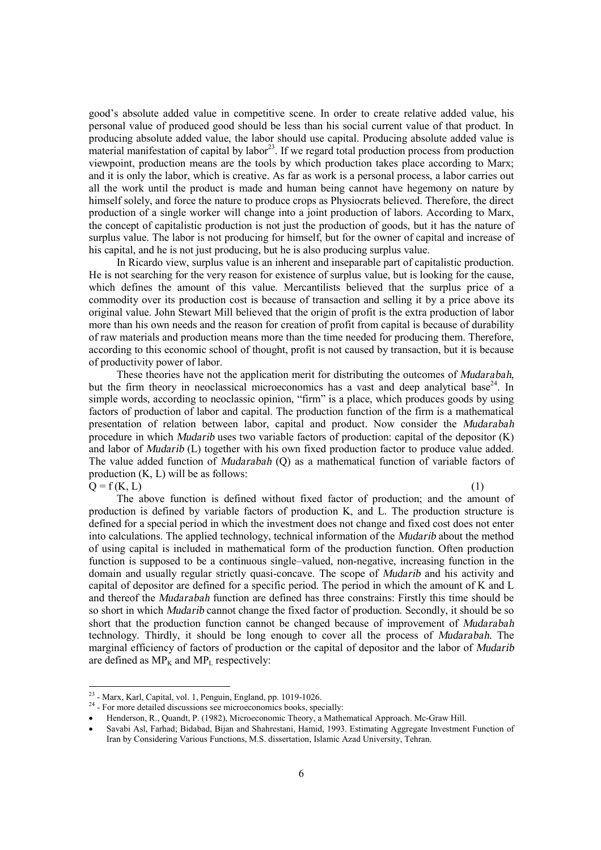good's absolute added value in competitive scene. In order to create relative added value, his personal value of produced good should be less than his social current value of that product. In producing absolute added value, the labor should use capital. Producing absolute added value is  $m$ aterial manifestation of capital by labor<sup>23</sup>. If we regard total production process from production viewpoint, production means are the tools by which production takes place according to Marx; and it is only the labor, which is creative. As far as work is a personal process, a labor carries out all the work until the product is made and human being cannot have hegemony on nature by himself solely, and force the nature to produce crops as Physiocrats believed. Therefore, the direct production of a single worker will change into a joint production of labors. According to Marx, the concept of capitalistic production is not just the production of goods, but it has the nature of surplus value. The labor is not producing for himself, but for the owner of capital and increase of his capital, and he is not just producing, but he is also producing surplus value.

In Ricardo view, surplus value is an inherent and inseparable part of capitalistic production. He is not searching for the very reason for existence of surplus value, but is looking for the cause, which defines the amount of this value. Mercantilists believed that the surplus price of a commodity over its production cost is because of transaction and selling it by a price above its original value. John Stewart Mill believed that the origin of profit is the extra production of labor more than his own needs and the reason for creation of profit from capital is because of durability of raw materials and production means more than the time needed for producing them. Therefore, according to this economic school of thought, profit is not caused by transaction, but it is because of productivity power of labor.

These theories have not the application merit for distributing the outcomes of *Mudarabah*, but the firm theory in neoclassical microeconomics has a vast and deep analytical base<sup>24</sup>. In simple words, according to neoclassic opinion, "firm" is a place, which produces goods by using factors of production of labor and capital. The production function of the firm is a mathematical presentation of relation between labor, capital and product. Now consider the *Mudarabah* procedure in which *Mudarib* uses two variable factors of production: capital of the depositor (K) and labor of *Mudarib* (L) together with his own fixed production factor to produce value added. The value added function of *Mudarabah* (Q) as a mathematical function of variable factors of production (K, L) will be as follows:

 $Q = f(K, L)$  (1)

-

The above function is defined without fixed factor of production; and the amount of production is defined by variable factors of production K, and L. The production structure is defined for a special period in which the investment does not change and fixed cost does not enter into calculations. The applied technology, technical information of the *Mudarib* about the method of using capital is included in mathematical form of the production function. Often production function is supposed to be a continuous single–valued, non-negative, increasing function in the domain and usually regular strictly quasi-concave. The scope of *Mudarib* and his activity and capital of depositor are defined for a specific period. The period in which the amount of K and L and thereof the *Mudarabah* function are defined has three constrains: Firstly this time should be so short in which *Mudarib* cannot change the fixed factor of production. Secondly, it should be so short that the production function cannot be changed because of improvement of *Mudarabah* technology. Thirdly, it should be long enough to cover all the process of *Mudarabah*. The marginal efficiency of factors of production or the capital of depositor and the labor of *Mudarib* are defined as  $MP_K$  and  $MP_L$  respectively:

 $2<sup>23</sup>$  - Marx, Karl, Capital, vol. 1, Penguin, England, pp. 1019-1026.

<sup>&</sup>lt;sup>24</sup> - For more detailed discussions see microeconomics books, specially:

<sup>·</sup> Henderson, R., Quandt, P. (1982), Microeconomic Theory, a Mathematical Approach. Mc-Graw Hill.

<sup>·</sup> Savabi Asl, Farhad; Bidabad, Bijan and Shahrestani, Hamid, 1993. Estimating Aggregate Investment Function of Iran by Considering Various Functions, M.S. dissertation, Islamic Azad University, Tehran.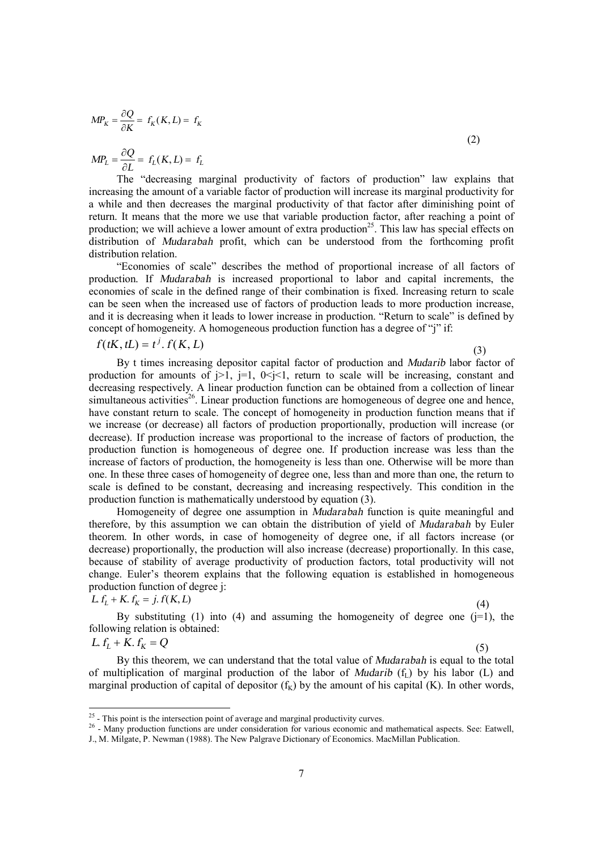$$
MP_K = \frac{\partial Q}{\partial K} = f_K(K, L) = f_K \tag{2}
$$

 $P_{L} = \frac{E_{L}}{2L} = f_{L}(K, L) = f_{L}$  $MP_L = \frac{\partial Q}{\partial L} = f_L(K, L) =$  $\partial$  $=\frac{\partial Q}{\partial x}=f_L(K,L)$ 

The "decreasing marginal productivity of factors of production" law explains that increasing the amount of a variable factor of production will increase its marginal productivity for a while and then decreases the marginal productivity of that factor after diminishing point of return. It means that the more we use that variable production factor, after reaching a point of production; we will achieve a lower amount of extra production<sup>25</sup>. This law has special effects on distribution of *Mudarabah* profit, which can be understood from the forthcoming profit distribution relation.

"Economies of scale" describes the method of proportional increase of all factors of production. If *Mudarabah* is increased proportional to labor and capital increments, the economies of scale in the defined range of their combination is fixed. Increasing return to scale can be seen when the increased use of factors of production leads to more production increase, and it is decreasing when it leads to lower increase in production. "Return to scale" is defined by concept of homogeneity. A homogeneous production function has a degree of "j" if:

$$
f(tK, tL) = t^j \cdot f(K, L) \tag{3}
$$

By t times increasing depositor capital factor of production and *Mudarib* labor factor of production for amounts of  $|z|$ ,  $|z| = 1$ ,  $0 \le |z|$ , return to scale will be increasing, constant and decreasing respectively. A linear production function can be obtained from a collection of linear simultaneous activities<sup>26</sup>. Linear production functions are homogeneous of degree one and hence, have constant return to scale. The concept of homogeneity in production function means that if we increase (or decrease) all factors of production proportionally, production will increase (or decrease). If production increase was proportional to the increase of factors of production, the production function is homogeneous of degree one. If production increase was less than the increase of factors of production, the homogeneity is less than one. Otherwise will be more than one. In these three cases of homogeneity of degree one, less than and more than one, the return to scale is defined to be constant, decreasing and increasing respectively. This condition in the production function is mathematically understood by equation (3).

Homogeneity of degree one assumption in *Mudarabah* function is quite meaningful and therefore, by this assumption we can obtain the distribution of yield of *Mudarabah* by Euler theorem. In other words, in case of homogeneity of degree one, if all factors increase (or decrease) proportionally, the production will also increase (decrease) proportionally. In this case, because of stability of average productivity of production factors, total productivity will not change. Euler's theorem explains that the following equation is established in homogeneous production function of degree j:

$$
L f_L + K f_K = j. f(K, L)
$$

(4)

By substituting (1) into (4) and assuming the homogeneity of degree one ( $j=1$ ), the following relation is obtained:

$$
L f_L + K f_K = Q \tag{5}
$$

By this theorem, we can understand that the total value of *Mudarabah* is equal to the total of multiplication of marginal production of the labor of *Mudarib*  $(f<sub>1</sub>)$  by his labor (L) and marginal production of capital of depositor  $(f<sub>K</sub>)$  by the amount of his capital (K). In other words,

<sup>&</sup>lt;sup>25</sup> - This point is the intersection point of average and marginal productivity curves.

<sup>&</sup>lt;sup>26</sup> - Many production functions are under consideration for various economic and mathematical aspects. See: Eatwell,

J., M. Milgate, P. Newman (1988). The New Palgrave Dictionary of Economics. MacMillan Publication.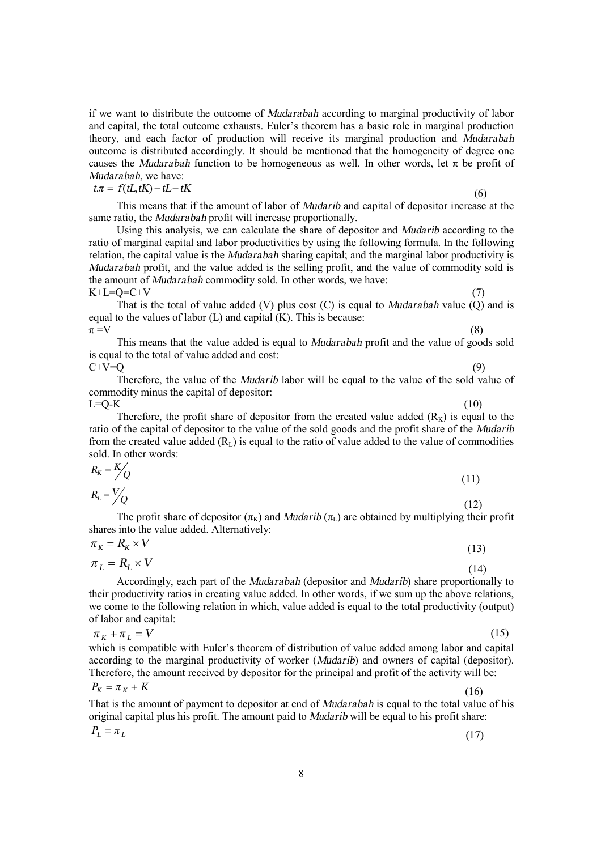if we want to distribute the outcome of *Mudarabah* according to marginal productivity of labor and capital, the total outcome exhausts. Euler's theorem has a basic role in marginal production theory, and each factor of production will receive its marginal production and *Mudarabah* outcome is distributed accordingly. It should be mentioned that the homogeneity of degree one causes the *Mudarabah* function to be homogeneous as well. In other words, let  $\pi$  be profit of *Mudarabah*, we have:

$$
t\pi = f(tL, tK) - tL - tK\tag{6}
$$

This means that if the amount of labor of *Mudarib* and capital of depositor increase at the same ratio, the *Mudarabah* profit will increase proportionally.

Using this analysis, we can calculate the share of depositor and *Mudarib* according to the ratio of marginal capital and labor productivities by using the following formula. In the following relation, the capital value is the *Mudarabah* sharing capital; and the marginal labor productivity is *Mudarabah* profit, and the value added is the selling profit, and the value of commodity sold is the amount of *Mudarabah* commodity sold. In other words, we have:  $K+L=O=C+V$ 

That is the total of value added (V) plus cost (C) is equal to *Mudarabah* value (Q) and is equal to the values of labor (L) and capital (K). This is because:  $\pi = V$  (8)

This means that the value added is equal to *Mudarabah* profit and the value of goods sold is equal to the total of value added and cost:

 $C+V=Q$  (9)

Therefore, the value of the *Mudarib* labor will be equal to the value of the sold value of commodity minus the capital of depositor:  $L=Q-K$  (10)

Therefore, the profit share of depositor from the created value added  $(R<sub>K</sub>)$  is equal to the ratio of the capital of depositor to the value of the sold goods and the profit share of the *Mudarib* from the created value added  $(R<sub>L</sub>)$  is equal to the ratio of value added to the value of commodities sold. In other words:

$$
R_{k} = \frac{K}{Q}
$$
\n
$$
R_{L} = \frac{V}{Q}
$$
\n(11)

The profit share of depositor  $(\pi_K)$  and *Mudarib*  $(\pi_L)$  are obtained by multiplying their profit shares into the value added. Alternatively:

$$
\pi_K = R_K \times V
$$
\n
$$
\pi_L = R_L \times V
$$
\n(13)

Accordingly, each part of the *Mudarabah* (depositor and *Mudarib*) share proportionally to their productivity ratios in creating value added. In other words, if we sum up the above relations, we come to the following relation in which, value added is equal to the total productivity (output) of labor and capital:

$$
\pi_K + \pi_L = V
$$
 (15)  
which is compatible with Euler's theorem of distribution of value added among labor and capital

according to the marginal productivity of worker (*Mudarib*) and owners of capital (depositor). Therefore, the amount received by depositor for the principal and profit of the activity will be:  $P_K = \pi_K + K$ 

That is the amount of payment to depositor at end of *Mudarabah* is equal to the total value of his original capital plus his profit. The amount paid to *Mudarib* will be equal to his profit share:

$$
P_L = \pi_L \tag{17}
$$